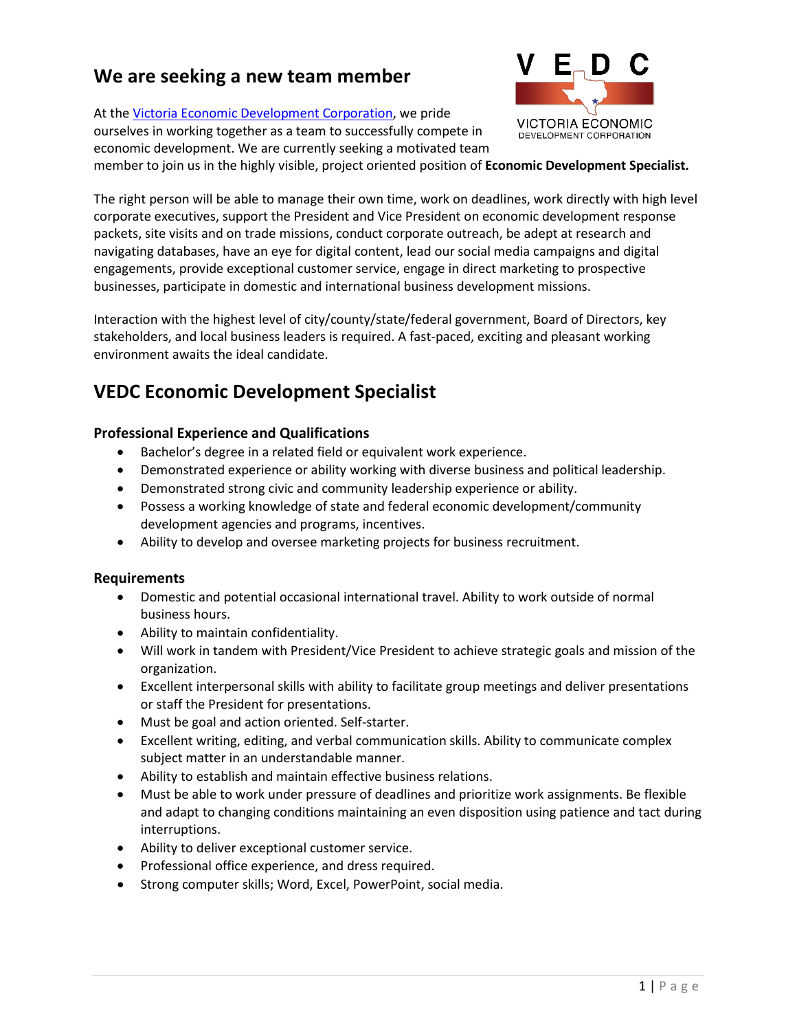# **We are seeking a new team member**

At the [Victoria Economic Development Corporation,](https://www.victoriaedc.com/) we pride ourselves in working together as a team to successfully compete in economic development. We are currently seeking a motivated team



member to join us in the highly visible, project oriented position of **Economic Development Specialist.**

The right person will be able to manage their own time, work on deadlines, work directly with high level corporate executives, support the President and Vice President on economic development response packets, site visits and on trade missions, conduct corporate outreach, be adept at research and navigating databases, have an eye for digital content, lead our social media campaigns and digital engagements, provide exceptional customer service, engage in direct marketing to prospective businesses, participate in domestic and international business development missions.

Interaction with the highest level of city/county/state/federal government, Board of Directors, key stakeholders, and local business leaders is required. A fast-paced, exciting and pleasant working environment awaits the ideal candidate.

# **VEDC Economic Development Specialist**

# **Professional Experience and Qualifications**

- Bachelor's degree in a related field or equivalent work experience.
- Demonstrated experience or ability working with diverse business and political leadership.
- Demonstrated strong civic and community leadership experience or ability.
- Possess a working knowledge of state and federal economic development/community development agencies and programs, incentives.
- Ability to develop and oversee marketing projects for business recruitment.

#### **Requirements**

- Domestic and potential occasional international travel. Ability to work outside of normal business hours.
- Ability to maintain confidentiality.
- Will work in tandem with President/Vice President to achieve strategic goals and mission of the organization.
- Excellent interpersonal skills with ability to facilitate group meetings and deliver presentations or staff the President for presentations.
- Must be goal and action oriented. Self-starter.
- Excellent writing, editing, and verbal communication skills. Ability to communicate complex subject matter in an understandable manner.
- Ability to establish and maintain effective business relations.
- Must be able to work under pressure of deadlines and prioritize work assignments. Be flexible and adapt to changing conditions maintaining an even disposition using patience and tact during interruptions.
- Ability to deliver exceptional customer service.
- Professional office experience, and dress required.
- Strong computer skills; Word, Excel, PowerPoint, social media.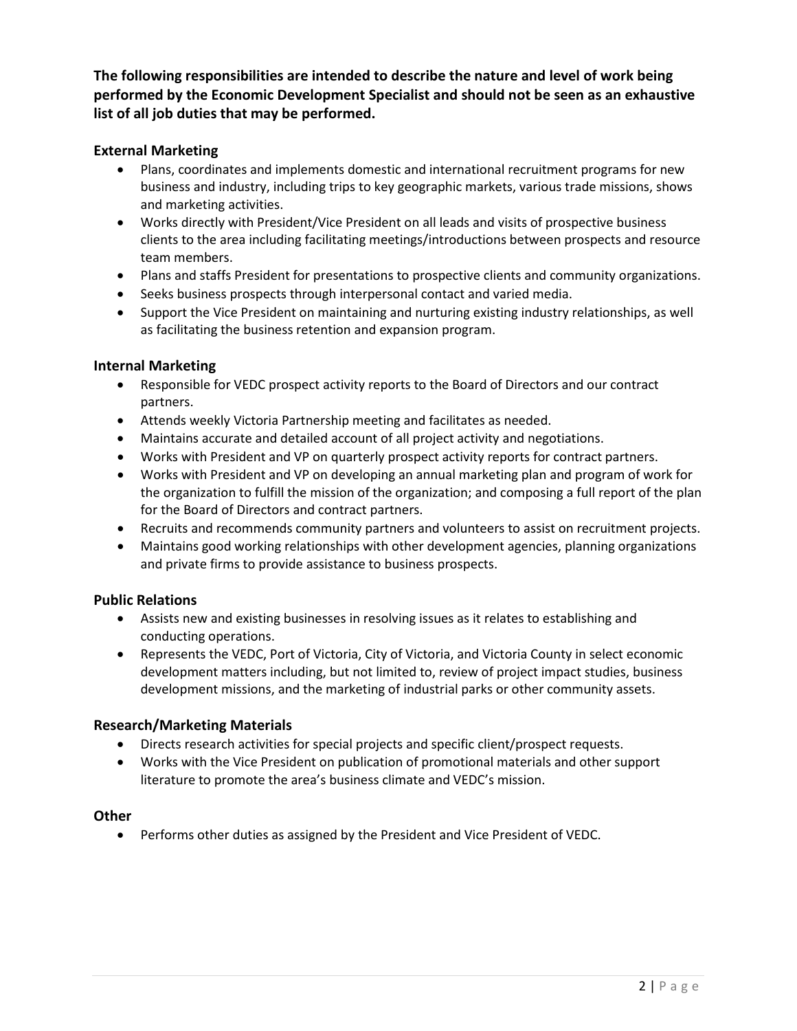**The following responsibilities are intended to describe the nature and level of work being performed by the Economic Development Specialist and should not be seen as an exhaustive list of all job duties that may be performed.**

# **External Marketing**

- Plans, coordinates and implements domestic and international recruitment programs for new business and industry, including trips to key geographic markets, various trade missions, shows and marketing activities.
- Works directly with President/Vice President on all leads and visits of prospective business clients to the area including facilitating meetings/introductions between prospects and resource team members.
- Plans and staffs President for presentations to prospective clients and community organizations.
- Seeks business prospects through interpersonal contact and varied media.
- Support the Vice President on maintaining and nurturing existing industry relationships, as well as facilitating the business retention and expansion program.

#### **Internal Marketing**

- Responsible for VEDC prospect activity reports to the Board of Directors and our contract partners.
- Attends weekly Victoria Partnership meeting and facilitates as needed.
- Maintains accurate and detailed account of all project activity and negotiations.
- Works with President and VP on quarterly prospect activity reports for contract partners.
- Works with President and VP on developing an annual marketing plan and program of work for the organization to fulfill the mission of the organization; and composing a full report of the plan for the Board of Directors and contract partners.
- Recruits and recommends community partners and volunteers to assist on recruitment projects.
- Maintains good working relationships with other development agencies, planning organizations and private firms to provide assistance to business prospects.

#### **Public Relations**

- Assists new and existing businesses in resolving issues as it relates to establishing and conducting operations.
- Represents the VEDC, Port of Victoria, City of Victoria, and Victoria County in select economic development matters including, but not limited to, review of project impact studies, business development missions, and the marketing of industrial parks or other community assets.

#### **Research/Marketing Materials**

- Directs research activities for special projects and specific client/prospect requests.
- Works with the Vice President on publication of promotional materials and other support literature to promote the area's business climate and VEDC's mission.

#### **Other**

• Performs other duties as assigned by the President and Vice President of VEDC.